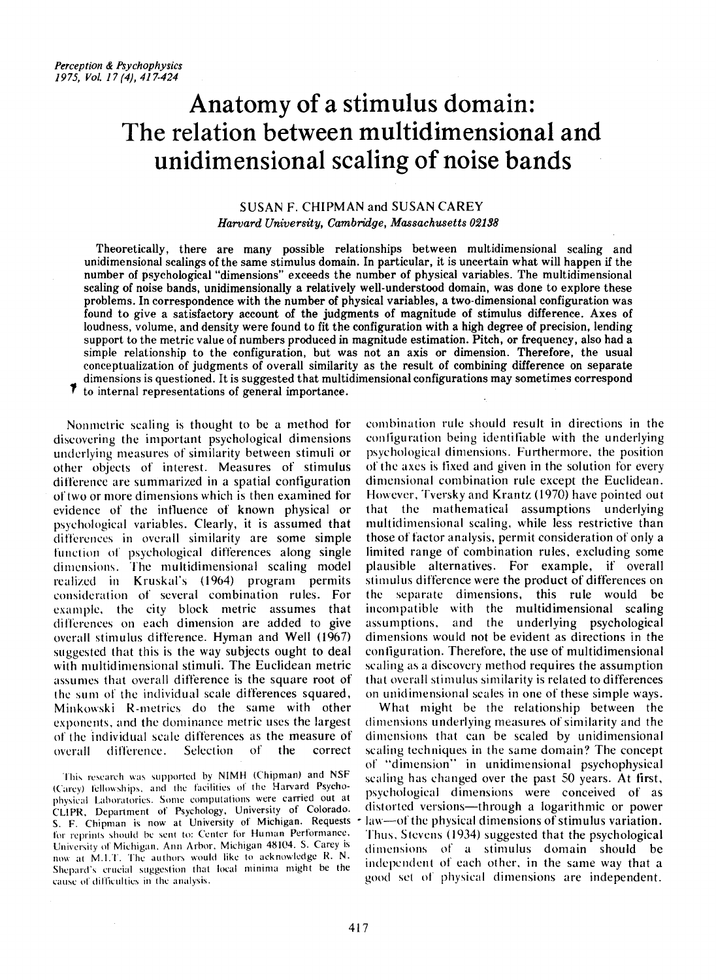# **Anatomy of a stimulus domain: The relation between multidimensional and unidimensional scaling of noise bands**

# SUSAN F. CHIPMAN and SUSAN CAREY *Harvard University, Cambridge, Massachusetts 02138*

Theoretically, there are many possible relationships between multidimensional scaling and unidimensional scalings of the same stimulus domain. In particular, it is uncertain what will happen if the number of psychological "dimensions" exceeds the number of physical variables. The multidimensional scaling of noise bands, unidimensionally a relatively well-understood domain, was done to explore these problems. In correspondence with the number of physical variables, a two-dimensional configuration was found to give a satisfactory account of the judgments of magnitude of stimulus difference. Axes of loudness, volume, and density were found to fit the configuration with a high degree of precision, lending support to the metric value of numbers produced in magnitude estimation. Pitch, or frequency, also had a simple relationship to the configuration, but was not an axis or dimension. Therefore, the usual conceptualization of judgments of overall similarity as the result of combining difference on separate dimensions is questioned. It is suggested that multidimensional configurations may sometimes correspond to internal representations of general importance.

Nonmetric scaling is thought to be a method for discovering the important psychological dimensions underlying measures of similarity between stimuli or other objects of interest. Measures of stimulus difference are summarized in a spatial configuration of two or more dimensions which is then examined for evidence of the intluence of known physical or psychological variables. Clearly, it is assumed that differences in overall similarity are some simple function of psychological differences along single dimensions. The multidimensional scaling model realized in Kruskal's (1964) program permits consideration of several combination rules. For exampic. the city block metric assumes that differences on each dimension are added to give overall stimulus difference. Hyman and Well (1967) suggested that this is the way subjects ought to deal with multidimensional stimuli. The Euclidean metric assumes that overall difference is the square root of the sum of the individual scale differences squared, Mink owski R-metrics do the same with other exponents, and the dominance metric uses the largest of the individual scale differences as the measure of overall difference. Selection of the correct

This research was supported by NIMH (Chipman) and NSF (Carey) fellowships, and the facilities of the Harvard Psychophysical Laboratories. Some computations were carried out at CUPR. Department of Psychology. University of Colorado. S. F. Chipman is now at University of Michigan. Requests for reprints should be sent to: Center for Human Performance. University of Michigan, Ann Arbor. Michigan 48104. S. Carey is now at M.I.T. The authors would like to acknowledge R. N. Shepard's crucial suggestion that local minima might be the cause of difficulties in the analysis.

combination rule should result in directions in the configuration being identifiable with the underlying psychological dimensions. Furthermore, the position of the axes is fixed and given in the solution for every dimensional combination rule except the Euclidean. However, Tversky and Krantz (1970) have pointed out that the mathematical assumptions underlying multidimensional scaling, while less restrictive than those of factor analysis, permit consideration of only a limited range of combination rules, excluding some plausible alternatives. For example, if overall stimulus difference were the product of differences on the separate dimensions, this rule would be incompatible with the multidimensional scaling assumptions, and the underlying psychological dimensions would not be evident as directions in the configuration. Therefore, the use of multidimensional scaling as a discovery method requires the assumption that overall stimulus similarity is related to differences on unidimensional scales in one of these simple ways.

What might be the relationship between the dimensions underlying measures of similarity and the dimensions that can be scaled by unidimensional scaling techniques in the same domain? The concept of "dimension" in unidimensional psychophysical scaling has changed over the past 50 years. At first, psychological dimensions were conceived of as distorted versions-through a logarithmic or power law—of the physical dimensions of stimulus variation. Thus, Stevens (1934) suggested that the psychological dimensions of a stimulus domain should be independent of each other, in the same way that a good set or physical dimensions are independent.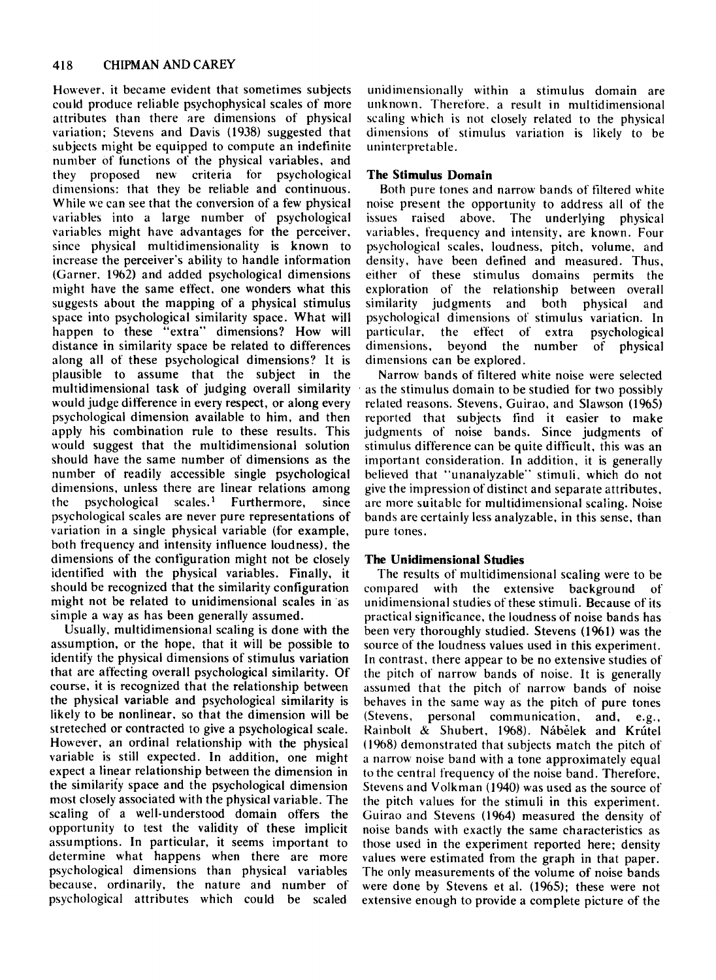However. it became evident that sometimes subjects could produce reliable psychophysical scales of more attributes than there are dimensions of physical variation; Stevens and Davis (1938) suggested that subjects might be equipped to compute an indefinite number of functions of the physical variables. and they proposed new criteria for psychological dimensions: that they be reliable and continuous. While we can see that the conversion of a few physical variables into a large number of psychological variables might have advantages for the perceiver. since physical multidimensionality is known to increase the perceiver's ability to handle information  $(Garner, 1962)$  and added psychological dimensions might have the same effect. one wonders what this suggests about the mapping of a physical stimulus space into psychological similarity space. What will happen to these "extra" dimensions? How will distance in similarity space be related to differences along al1 of these psychological dimensions? It is plausible to assume that the subject in the multidimensional task of judging overall similarity would judge difference in every respect, or along every psychological dimension available to him. and then apply his combination rule to these results. This would suggest that the multidimensional solution should have the same number of dimensions as the number of readily accessible single psychological dimensions, unless there are linear relations among<br>the psychological scales.<sup>1</sup> Furthermore, since the psychological scales.<sup>1</sup> Furthermore, since psychological scales are never pure representations of variation in a single physical variable (for example. both frequency and intensity influence loudness). the dimensions of the configuration might not be closely identified with the physical variables. Finally. it should be recognized that the similarity configuration might not be related to unidimensional scales in "as simple a way as has been generally assumed.

Usually, multidimensional scaling is done with the assumption, or the hope. that it will be possible to identify the physical dimensions of stimulus variation that are affecting overall psychological similarity. Of course. it is recognized that the relationship between the physical variable and psychological similarity is likely to be nonlinear. so that the dimension will be streteched or contracted to give a psychological scale. However. an ordinal relationship with the physical variable is still expected. In addition, one might expect a linear relationship between the dimension in the similarity space and the psychological dimension most closely associated with the physical variable. The scaling of a wel1-understood domain offers the opportunity to test the validity of these implicit assumptions. In particular, it seems important to determine what happens when there are more psychological dimensions than physical variables because. ordinarily, the nature and number of psychological attributes which could be scaled

unidimensionally within a stimulus domain are unknown. Therefore. a result in multidimensional scaling which is not closely related to the physical dimensions of stimulus variation is likely to be uninterpretable.

# **The Stimulus Domain**

Both pure tones and narrow bands of filtered white noise present the opportunity to address al1 of the issues raised above. The underlying physical variables. frequency and intensity. are known. Four psychological scales. loudness, pitch. volume. and density. have been detined and measured. Thus. either of these stimulus domains permits the exploration of the relationship between overal1 similarity judgments and both physical and psychological dimensions of stimulus variation. In particular. the effect of extra psychological dimensions. beyond the number of physical dimensions can be explored.

Narrow bands of filtered white noise were selected as the stimulus domain to be studied for two possibly related reasons. Stevens. Guirao, and Slawson (1965) reported that subjects tind it easier to make judgments of noise bands. Since judgments of stimulus difference can be quite difficult, this was an important consideration. In addition. it is generally believed that "unanalyzable" stimuli. which do not give the impression of distinct and separate attributes. are more suitable for multidimensional scaling. Noise bands are certainly less analyzable, in this sense. than pure tones.

# **The Unidimensional Studies**

The results of multidimensional scaling were to be compared with the extensive background of unidimensional studies of these stimuli. Because of its practical significance. the loudness of noise bands has been very thoroughly studied. Stevens (1961) was the source of the loudness values used in this experiment. **In**contrast. there appear to be no extensive studies of the pitch of narrow bands of noise. It is generally assumed that the pitch of narrow bands of noise behaves in the same way as the pitch of pure tones (Stevens, personal communication, and, e.g., Rainbolt & Shubert, 1968). Nábělek and Krútel  $(1968)$  demonstrated that subjects match the pitch of a narrow noise band with a tone approximately equal to the central frequency of the noise band. Therefore. Stevens and Volkman (1940) was used as the source of the pitch values for the stimuli in this experiment. Guirao and Stevens (1964) measured the density of noise bands with exactly the same characteristics as those used in the experiment reported here; density values were estimated from the graph in that paper. The only measurements of the volume of noise bands were done by Stevens et al. (1965); these were not extensive enough to provide a complete picture of the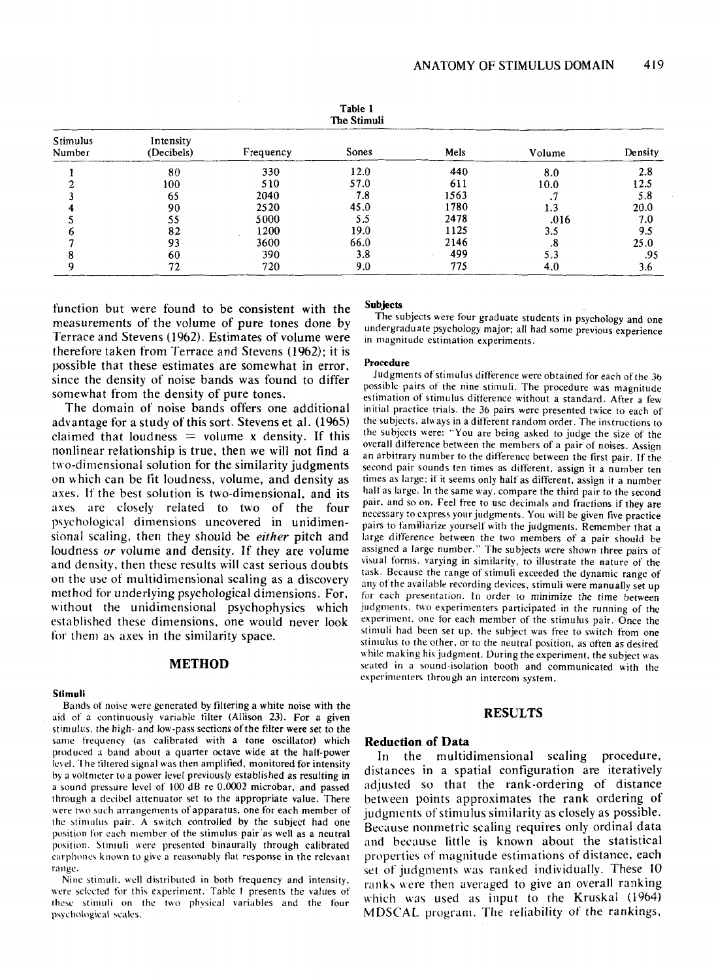| Table 1<br>The Stimuli    |                         |           |       |      |        |         |
|---------------------------|-------------------------|-----------|-------|------|--------|---------|
| <b>Stimulus</b><br>Number | Intensity<br>(Decibels) | Frequency | Sones | Mels | Volume | Density |
|                           | 80                      | 330       | 12.0  | 440  | 8.0    | 2.8     |
|                           | 100                     | 510       | 57.0  | 611  | 10.0   | 12.5    |
|                           | 65                      | 2040      | 7.8   | 1563 |        | 5.8     |
|                           | 90                      | 2520      | 45.0  | 1780 | 1.3    | 20.0    |
|                           | 55                      | 5000      | 5.5   | 2478 | .016   | 7.0     |
|                           | 82                      | 1200      | 19.0  | 1125 | 3.5    | 9.5     |
|                           | 93                      | 3600      | 66.0  | 2146 | .8     | 25.0    |
|                           | 60                      | 390       | 3.8   | 499  | 5.3    | .95     |
|                           | 72                      | 720       | 9.0   | 775  | 4.0    | 3.6     |

function but were found to be consistent with the measurements of the volume of pure tones done by Terrace and Stevens (1962). Estimates of volume were therefore taken from Terrace and Stevens (1962); it is possible that these estimates are somewhat in error, since the density of noise bands was found to differ somewhat from the density of pure tones.

The domain of noise bands offers one additional advantage for a study of this sort. Stevens et al. (1965) claimed that loudness  $=$  volume x density. If this nonlinear relationship is true, then we will not find a two-dimensional solution for the similarity judgments on which can be tit loudness, volume, and density as axes. If the best solution is two-dimensional, and its axes arc closely related to two of the four psychological dimensions uncovered in unidimensional scaling, then they should be *either* pitch and loudness *or* volume and density. If they are volume and density, then these results will cast serious doubts on the use of multidimensional scaling as a discovery method for underlying psychological dimensions. For, without the unidimensional psychophysics which established these dimensions, one would never look for them as axes in the similarity space.

## METHOD

#### Stimuli

Bands of noise were generated by filtering a white noise with the aid of a continuously variable tilter (Allison 23). For a given stimulus. the high- and low-pass sections of the filter were set to the same frequency (as calibrated with a tone oscillator) which produced a band about a quarter octave wide at the half-power level. The filtered signal was then amplified. monitored for intensity by a voltmeter to a power level previously established as resulting in a sound pressure level of 100 dB re 0.0002 microbar, and passed through a decibel attenuator set to the appropriate value. There were two such arrangements of apparatus, one for each member of the stimulus pair. A switch controlled by the subject had one position for each member of the stimulus pair as well as a neutral position. Stimuli were presented binaurally through calibrated earphones known to give a reasonably flat response in the relevant range.

Nine stimuli. well distributed in both frequency and intensity. were selected for this experiment. Table I presents the values of these stimuli on the two physical variables and the four psychological scales.

### **Subjects**

The subjects were four graduate students in psychology and one undergraduate psychology major; all had some previous experience in magnitude estimation experiments.

#### Procedure

Judgments of stimulus difference were obtained for each of the 36 possible pairs of the nine stimuli. The procedure was magnitude estimation of stimulus difference without a standard. After a few initial practice trials, the 36 pairs were presented twice to each of the subjects. always in a different random order. The instructions to the subjects were: "You are being asked to judge the size of the overall difference between the members of a pair of noises. Assign an arbitrary number to the difference between the first pair. If the second pair sounds ten times as different. assign it a number ten times as large; if it seems only half as different, assign it a number half as large. In the same way. compare the third pair to the second pair, and so on. Feel free to use decimals and fracfions if they are necessary to express your judgments. You will be given five practice pairs to familiarize yourself with the judgments. Remember that a large difference between the two members of a pair should be assigned a large number." The subjects were shown three pairs of visual forms, varying in similarity, to illustrate the nature of the task. Because the range of stimuli exceeded the dynamic range of any of the available recording devices. stimuli were manually set up for each presentation. In order to minimize the time between judgments. two experimenters participated in the running of the experiment. one for each member of the stimulus pair. Once the stimuli had been set up. the subject was free to switch from one stimulus to the other. or to the neutral position. as often as desired while making his judgment. During the experiment. the subject was seated in a sound-isolation booth and communicated with the experimenters through an intercom system.

# RESULTS

#### Reduction of Data

In the multidimensional scaling procedure, distances in a spatial contiguration are iteratively adjusted so that the rank-ordering of distance between points approximates the rank ordering of judgments of stimulus similarity as closely as possible. Because nonmetric scaling requires only ordinal data and because little is known about the statistical properties of magnitude estimations of distance, each set of judgments was ranked individually. These 10 ranks were then averaged to give an overall ranking which was used as input to the Kruskal (1964) MDSCAL program. The reliability of the rankings,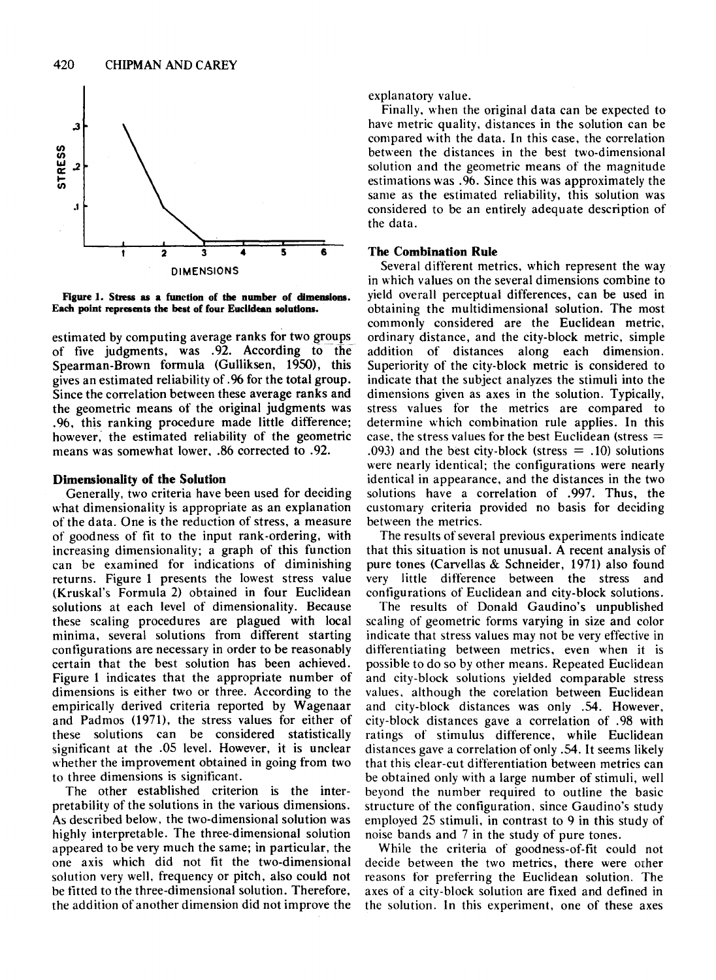

Figure 1. Stress as a function of the number of dimensions. Each point represents the best of four Euclidean solutions.

estimated by computing average ranks for two groups of five judgments, was .92. According to the Spearman-Brown formula (Gulliksen, 1950), this gives an estimated reliability of.96 for the total group. Since the correlation between these average ranks and the geometric means of the original judgments was .96, this ranking procedure made little difference; however: the estimated reliability of the geometric means was somewhat lower, .86 corrected to .92.

# Dimensionallty of the Solution

Generally, two criteria have been used for deciding what dimensionality is appropriate as an explanation of the data. One is the reduction of stress, a measure of goodness of fit to the input rank-ordering, with increasing dimensionality; a graph of this function can be examined for indications of diminishing returns. Figure 1 presents the lowest stress value (Kruskal's Formula 2) obtained in four Euclidean solutions at each level of dimensionality. Because these scaling procedures are plagued with local minima, several solutions from different starting configurations are necessary in order to be reasonably certain that the best solution has been achieved. Figure 1 indicates that the appropriate number of dimensions is either two or three. According to the empirically derived criteria reported by Wagenaar and Padmos (1971), the stress values for either of these solutions can be considered statistically significant at the .05 level. However, it is unclear whether the improvement obtained in going from two to three dimensions is significant.

The other established criterion is the interpretability of the solutions in the various dimensions. As described below, the two-dimensional solution was highly interpretable. The three-dimensional solution appeared to be very much the same; in particular, the one axis which did not fit the two-dimensional solution very well, frequency or pitch, also could not be fitted to the three-dimensional solution. Therefore, the addition of another dimension did not improve the explanatory value.

Finally. when the original data can be expected to have metric quality, distances in the solution can be compared with the data. In this case, the correlation between the distances in the best two-dimensional solution and the geometric means of the magnitude estimations was .96. Since this was approximately the same as the estimated reliability, this solution was considered to be an entirely adequate description of the data.

# The Combination Rule

Several different metrics, which represent the way in which values on the several dimensions combine to yield overall perceptual differences, can be used in obtaining the multidimensional solution. The most commonly considered are the Euclidean metric, ordinary distance, and the city-block metric, simple addition of distances along each dimension. Superiority of the city-block metric is considered to indicate that the subject analyzes the stimuli into the dimensions given as axes in the solution. Typically, stress values for the metrics are compared to determine which combination rule applies. In this case, the stress values for the best Euclidean (stress  $=$ .093) and the best city-block (stress  $= .10$ ) solutions were nearly identical; the configurations were nearly identical in appearance. and the distances in the two solutions have a correlation of .997. Thus, the customary criteria provided no basis for deciding between the metrics.

The results of several previous experiments indicate that this situation is not unusual. A recent analysis of pure tones (Carvellas & Schneider, 1971) also found very little difference between the stress and configurations of Euclidean and city-block solutions.

The results of Donald Gaudino's unpublished scaling of geometric forms varying in size and color indicate that stress values may not be very effective in differentiating between metrics, even when it is possible to do so by other means. Repeated Euclidean and city-block solutions yielded comparable stress values, although the corelation between Euclidean and city-block distances was only .54. However, city-block distances gave a correlation of .98 with ratings of stimulus difference. while Euclidean distances gave a correlation of only .54. It seems likely that this clear-cut differentiation between metrics can be obtained only with a large number of stimuli, well beyond the number required to outline the basic structure of the configuration, since Gaudino's study employed 25 stimuli. in contrast to 9 in this study of noise bands and 7 in the study of pure tones.

While the criteria of goodness-of-fit could not decide between the two metrics, there were other reasons for preferring the Euclidean solution. The axes of a city-block solution are fixed and defined in the solution. In this experiment. one of these axes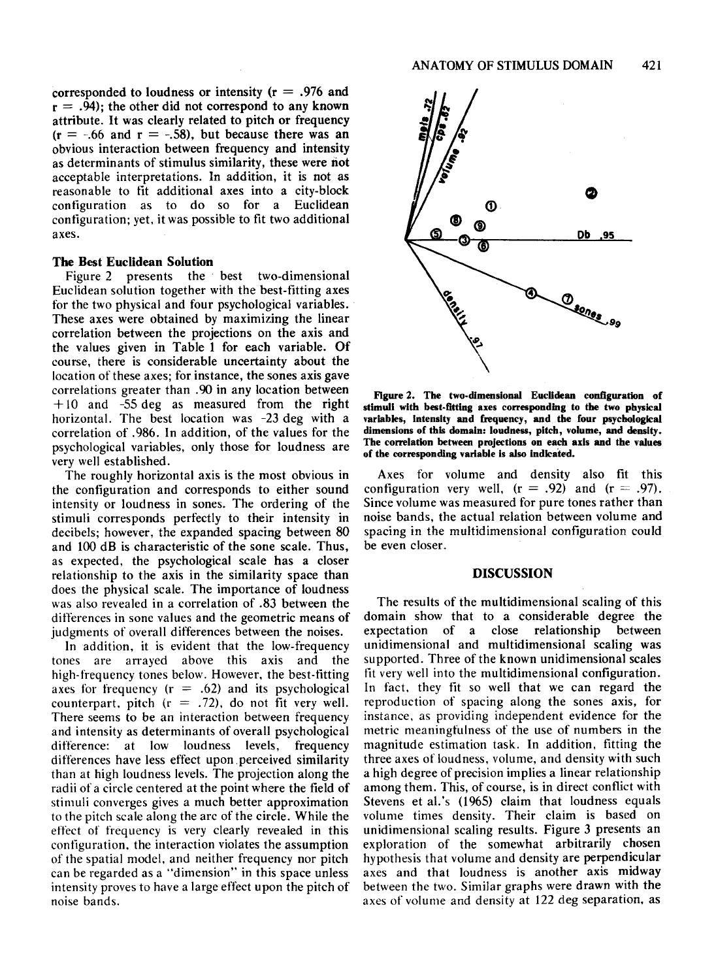corresponded to loudness or intensity  $(r = .976$  and  $r = .94$ ; the other did not correspond to any known attribute. It was clearly related to pitch or frequency  $(r = -.66$  and  $r = -.58$ ), but because there was an obvious interaction between frequency and intensity as determinants of stimulus similarity, these were riot acceptable interpretations. In addition, it is not as reasonable to tit additional axes into a city-block configuration as to do so for a Euclidean configuration; yet, it was possible to fit two additional axes.

## The Best Euclidean Solution

Figure 2 presents the best two-dimensional Euclidean solution together with the best-fitting axes for the two physical and four psychological variables. These axes were obtained by maximizing the linear correlation between the projections on the axis and the values given in Table 1 for each variable. Of course, there is considerable uncertainty about the location of these axes; for instance, the sones axis gave correlations greater than.90 in any location between +10 and -55 deg as measured from the right horizontal. The best location was -23 deg with a correlation of .986. In addition, of the values for the psychological variables, only those for loudness are very well established.

The roughly horizontal axis is the most obvious in the configuration and corresponds to either sound intensity or loudness in sones. The ordering of the stimuli corresponds perfectly to their intensity in decibels; however, the expanded spacing between 80 and 100 dB is characteristic of the sone scale. Thus, as expected, the psychological scale has a closer relationship to the axis in the similarity space than does the physical scale. The importance of loudness was also revealed in a correlation of .83 between the differences in sone values and the geometric means of judgments of overall differences between the noises.

In addition, it is evident that the low-frequency tones are arrayed above this axis and the high-frequency tones below. However, the best-fitting axes for frequency  $(r = .62)$  and its psychological counterpart, pitch  $(r = .72)$ , do not fit very well. There seems to be an interaction between frequency and intensity as determinants of overall psychological difference: at low loudness levels, frequency differences have less effect upon .perceived similarity than at high loudness levels. The projection along the radii of a circle centered at the point where the field of stimuli converges gives a much better approximation to the pitch scale along the arc of the circle. While the effect of frequency is very clearly revealed in this configuration, the interaction violates the assumption of the spatial model. and neither frequency nor pitch can be regarded as a "dimension" in this space unless intensity proves to have a large effect upon the pitch of noise bands.



Figure 2. The two-dimensional Euclidean configuration of stimuli with best·fitting axes corresponding to the two physical variables, Intensity and frequency, and the four psychological dimensions of this domain: loudness, pitch, volume, and density. The correlation between projections on each axis and the values of the corresponding variable is also indicated.

Axes for volume and density also fit this configuration very well,  $(r = .92)$  and  $(r = .97)$ . Since volume was measured for pure tones rather than noise bands, the actual relation between volume and spacing in the multidimensional configuration could be even closer.

# DISCUSSION

The results of the multidimensional scaling of this domain show that to a considerable degree the expectation of a close relationship between expectation of a close relationship unidimensional and multidimensional scaling was supported. Three of the known unidimensional scales fit very well into the multidimensional configuration. In fact. they fit so well that we can regard the reproduction of spacing along the sones axis, for instance. as providing independent evidence for the metric meaningfulness of the use of numbers in the magnitude estimation task. In addition, fitting the three axes of loudness, volume, and density with such a high degree of precision implies a linear relationship among them. This, of course, is in direct conflict with Stevens et al.'s (1965) claim that loudness equals volume times density. Their claim is based on unidimensional scaling results. Figure 3 presents an exploration of the somewhat arbitrarily chosen hypothesis that volume and density are perpendicular axes and that loudness is another axis midway between the two. Similar graphs were drawn with the axes of volume and density at 122 deg separation, as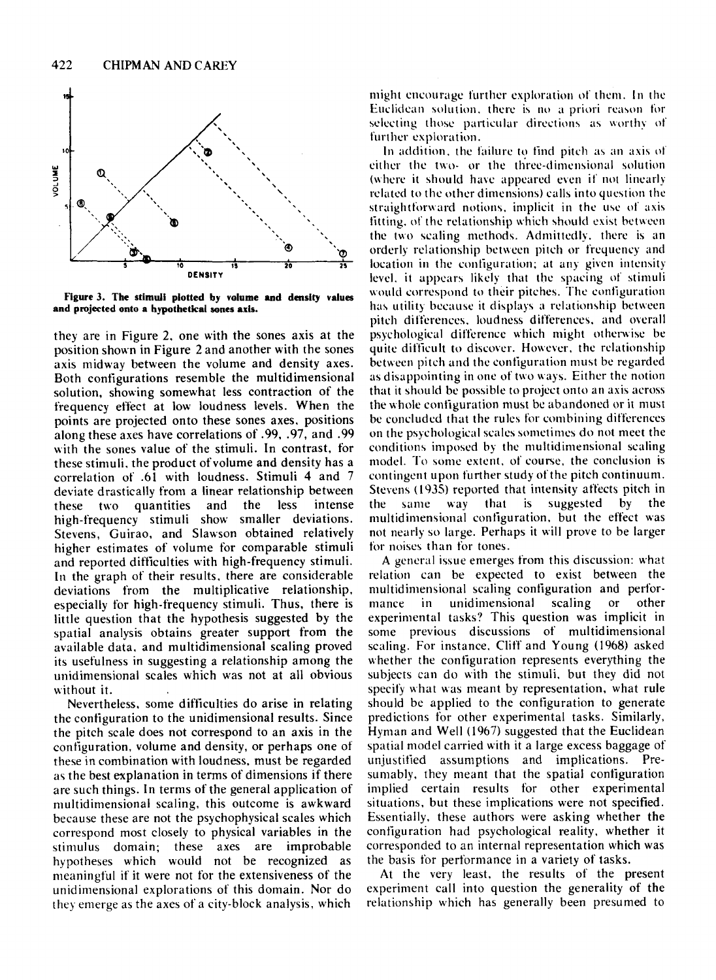

Figure 3. The stimuli plotted by volume and density values and projected onto a hypothetical sones axis.

they are in Figure 2, one with the sones axis at the position shown in Figure 2 and another with the sones axis midway between the volume and density axes. Both configurations resemble the multidimensional solution, showing somewhat less contraction of the frequency effect at low loudness levels. When the points are projected onto these sones axes, positions along these axes have correlations of .99, .97, and.99 with the sones value of the stimuli. In contrast. for these stimuli. the product of volume and density has a correlation of .61 with loudness. Stimuli 4 and 7 deviate drastically from a linear relationship between these two quantities and the less intense high-frequency stimuli show smaller deviations. Stevens, Guirao, and Slawson obtained relatively higher estimates of volume for comparable stimuli and reported difficulties with high-frequency stimuli. In the graph of their results, there are considerable deviations from the multiplicative relationship, especially for high-frequency stimuli. Thus, there is little question that the hypothesis suggested by the spatial analysis obtains greater support from the available data. and multidimensional scaling proved its usefulness in suggesting a relationship among the unidimensional scales which was not at all obvious without it.

Nevertheless, some difficulties do arise in relating the contiguration to the unidimensional results. Since the pitch scale does not correspond to an axis in the configuration, volume and density, or perhaps one of these in combination with loudness, must be regarded as the best explanation in terms of dimensions if there are such things. In terms of the general application of multidimensional scaling, this outcome is awkward because these are not the psychophysical scales which correspond most closely to physical variables in the stimulus domain; these axes are improbable hypotheses which would not be recognized as meaningful if it were not for the extensiveness of the unidimensional explorations of this domain. Nor do they emerge as the axes of a city-block analysis, which

might encourage further exploration of them. In the Euclidean solution. there is no a priori reason for selecting those particular directions as worthy of further exploration.

In addition, the failure to find pitch as an axis of either the two- or the three-dimensional solution (where it should have appeared even if not linearly related to the other dimensions) calls into question the straightforward notions, implicit in the use of axis litting. of the relationship which should exist between the two scaling methods. Admittedly. there is an orderly relationship between pitch or frequency and location in the configuration: at any given intensity level. it appears likely that the spacing of stimuli would correspond to their pitches. The configuration has utility because it displays a relationship between pitch differences. loudness differences, and overall psychological difference which might otherwise be quite difficult to discover. However, the relationship between pitch and the configuration must be regarded as disappointing in one of two ways. Either the notion that it should be possible to project onto an axis across the whole configuration must be abandoned or it must be concluded that the rules for combining differences on the psychological scales sometimes do not meet the conditions imposed by the multidimensional scaling model. To some extent, of course, the conclusion is contingent upon further study of the pitch continuum. Stevens (1935) reported that intensity affects pitch in the same way that is suggested by the multidimensional configuration, but the effect was not nearly so large. Perhaps it will prove to be larger for noises than for tones.

A general issue emerges from this discussion: what relation can be expected to exist between the multidimensional scaling configuration and perfor-<br>mance in unidimensional scaling or other mance in unidimensional scaling or experimental tasks? This question was implicit in some previous discussions of multidimensional scaling. For instance, Cliff and Young (1968) asked whether the configuration represents everything the subjects can do with the stimuli, but they did not specify what was meant by representation, what rule should be applied to the contiguration to generate predictions for other experimental tasks. Similarly, Hyman and Well (1967) suggested that the Euclidean spatial model carried with it a large excess baggage of unjustified assumptions and implications. Presumably, they meant that the spatial contiguration implied certain results for other experimental situations, but these implications were not specified. Essentially, these authors were asking whether the contiguration had psychological reality, whether it corresponded to an internal representation which was the basis for performance in a variety of tasks.

At the very least, the results of the present experiment call into question the generality of the relationship which has generally been presumed to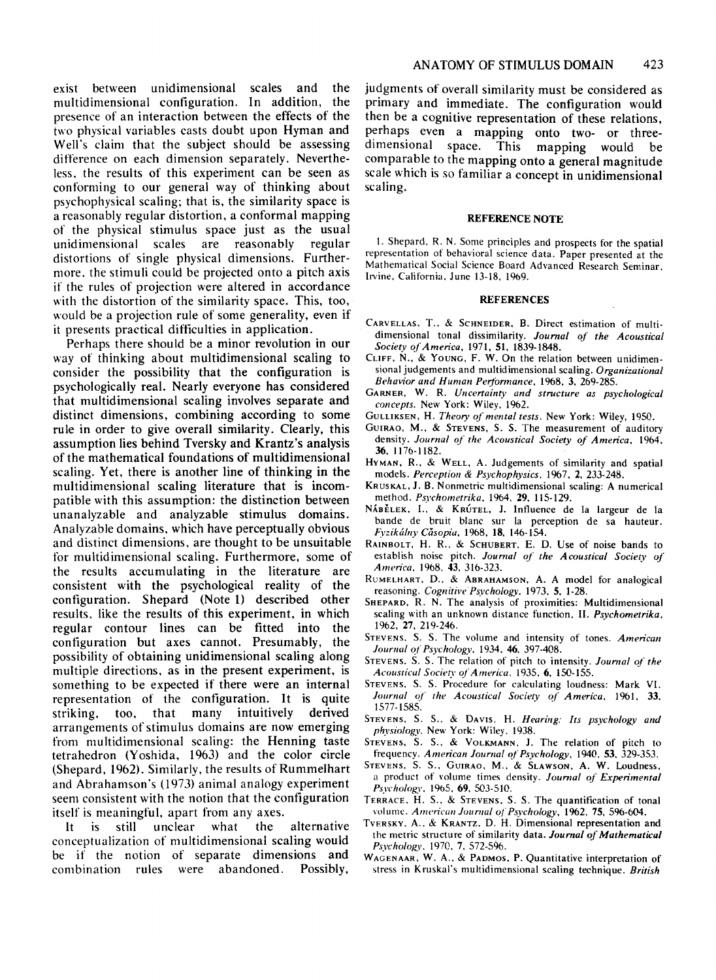exist between unidimensional scales and the multidimensional configuration. In addition, the presence of an interaction between the effects of the two physical variables casts doubt upon Hyman and Well's claim that the subject should be assessing difference on each dimension separately. Nevertheless. the results of this experiment can be seen as conforming to our general way of thinking about psychophysical scaling; that is, the similarity space is a reasonably regular distortion, a conformal mapping of the physical stimulus space just as the usual unidimensional scales are reasonably regular distortions of single physical dimensions. Furthermore. the stimuli could be projected onto a pitch axis if the rules of projection were altered in accordance with the distortion of the similarity space. This, too, would be a projection rule of some generality, even if it presents practical difficulties in application.

Perhaps there should be a minor revolution in our way of thinking about multidimensional scaling to consider the possibility that the configuration is psychologically real. Nearly everyone has considered that multidimensional scaling involves separate and distinct dimensions, combining according to some rule in order to give overall similarity. Clearly, this assumption lies behind Tversky and Krantz's analysis of the mathematical foundations of multidimensional scaling. Yet, there is another line of thinking in the multidimensional scaling literature that is incompatible with this assumption: the distinction between unanalyzable and analyzable stimulus domains. Analyzable domains, which have perceptually obvious and distinct dimensions, are thought to be unsuitable for multidimensional scaling. Furthermore, some of the results accumulating in the literature are consistent with the psychological reality of the configuration. Shepard (Note 1) described other results, like the results of this experiment, in which regular contour lines can be fitted into the configuration but axes cannot. Presumably, the possibility of obtaining unidimensional scaling along multiple directions. as in the present experiment, is something to be expected if there were an internal representation of the configuration. It is quite striking. too, that many intuitively derived arrangements of stimulus domains are now emerging from multidimensional scaling: the Henning taste tetrahedron (Yoshida. 1963) and the color circle (Shepard, 1962). Similarly, the results of Rummelhart and Abrahamson's (1973) animal analogy experiment seem consistent with the notion that the configuration itself is meaningful, apart from any axes.<br>It is still unclear what the

It is still unclear what the alternative conceptualization of multidimensional scaling would be if the notion of separate dimensions and combination rules were abandoned. Possibly,

judgments of overall similarity must be considered as primary and immediate. The configuration would then be a cognitive representation of these relations, perhaps even a mapping onto two- or three-This mapping would be comparable to the mapping onto a general magnitude scale which is so familiar a concept in unidimensional scaling.

#### REFERENCE NOTE

I. Shepard, R. N. Some principles and prospects for the spatial representation of behavioral science data. Paper presented at the Mathematical Social Science Board Advanced Research Seminar, Irvine, California, June 13-18, 1969.

#### **REFERENCES**

- CARVELLAS, T., & SCHNEIDER, B. Direct estimation of multidimensional tonal dissimilarity. *Journal of the Acoustical Society ofAmerica.* 1971, 51, 1839-1848,
- CLIFF, N., & YOUNG, F. W. On the relation between unidimensional judgements and multidimensional scaling, *Organizational Behavior and Human Performance,* 1968, 3, 269-285,
- GARNER, W. R. *Uncertainty and structure as psychological concepts.* New York: Wiley. 1962,
- GULLIKSEN, H, *Theory of mental tests.* New York: Wiley, 19SO,
- GUIRAO, M., & STEVENS, S. S, The measurement of auditory density. *Journal of the Acoustical Society of America, 1964,* 36, 1176-1182.
- HYMAN, R.. & WELL, A. Judgements of similarity and spatial models, *Perception* & *Psychophysics,* 1967, 2, 233-248,
- KRUSKAL, J, B. Nonmetric multidimensional scaling: A numerical method. *Psvchometrika,* 1964, 29, 115-129,
- NÁBELEK, I., & KRÚTEL, J. Influence de la largeur de la bande de bruit blanc sur la perception de sa hauteur. *FyzikUlny Ciisopia,* 1968, 18, 146-154.
- RAINBOLT, H. R., & SCHUBERT, E. D. Use of noise bands to establish noise pitch. *Journal of the Acoustical Society of America,* 1968, 43, 316-323,
- RUMELHART, D.. & ABRAHAMSON. A, A model for analogical reasoning. *Cognitive Psychology,* 1973, 5, 1-28.
- SHEPARD, R. N. The analysis of proximities: Multidimensional scaling with an unknown distance function, II. *Psychometrika,* 1962, 27, 219-246.
- STEVENS, S. S. The volume and intensity of tones. *American Journal of Psychology,* 1934.46,397-408.
- STEVENS, S. S. The relation of pitch to intensity. *Journal of the Acoustical Society ofAmerica,* 1935, 6, ISO-ISS.
- STEVENS, S. S. Procedure for calculating loudness: Mark VI. *JOIirna*I *of the Acoustical Society of America,* 1961, 33. 1577-1585.
- STEVENS, S. S.. & DAVIS. H. *Hearing: Its psychology and physiology.* New York: Wiley. 1938.
- STEVENS, S. S., & VOLKMANN, J. The relation of pitch to frequency. American Journal of Psychology, 1940, 53, 329-353.
- STEVENS, S. S., GUIRAO, M., & SLAWSON, A. W. Loudness, a product of volume times density. *Journal of Experimental Psychology.* 1965, 69, S03·51O.
- TERRACE, H. S.. & STEVENS, S. S. The quantification of tonal volume. American Journal of Psychology, 1962, 75, 596-604.
- TVERSKY, A.. & KRANTZ, D. H. Dimensional representation and the metric structure of similarity data. *Journal of Mathematical Psychology,* 1970. 7, 572-596.
- WAGENAAR, W. A., & PADMOS, P. Quantitative interpretation of stress in Kruskal's multidimensional scaling technique. *British*